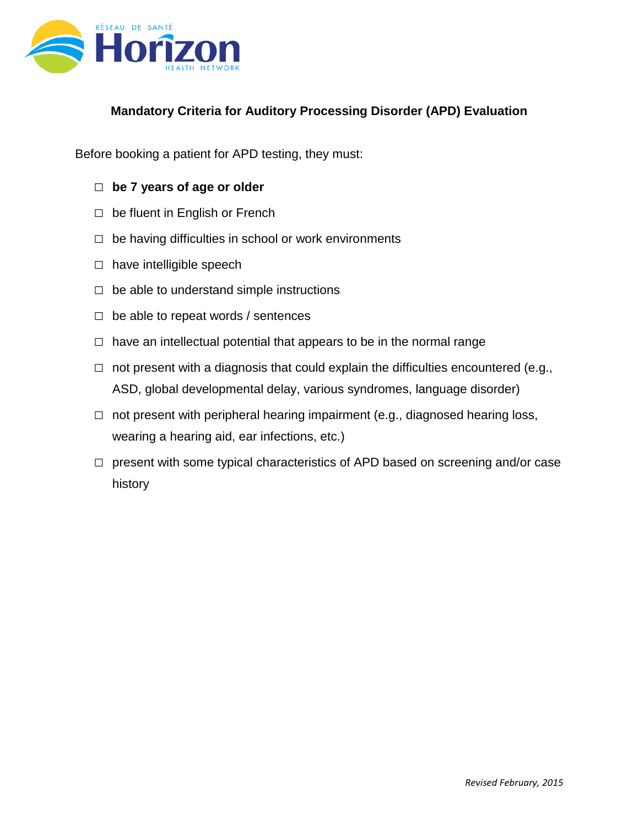

## **Mandatory Criteria for Auditory Processing Disorder (APD) Evaluation**

Before booking a patient for APD testing, they must:

- □ **be 7 years of age or older**
- $\Box$  be fluent in English or French
- $\Box$  be having difficulties in school or work environments
- □ have intelligible speech
- $\Box$  be able to understand simple instructions
- $\Box$  be able to repeat words / sentences
- $\Box$  have an intellectual potential that appears to be in the normal range
- $\Box$  not present with a diagnosis that could explain the difficulties encountered (e.g., ASD, global developmental delay, various syndromes, language disorder)
- $\Box$  not present with peripheral hearing impairment (e.g., diagnosed hearing loss, wearing a hearing aid, ear infections, etc.)
- $\Box$  present with some typical characteristics of APD based on screening and/or case history